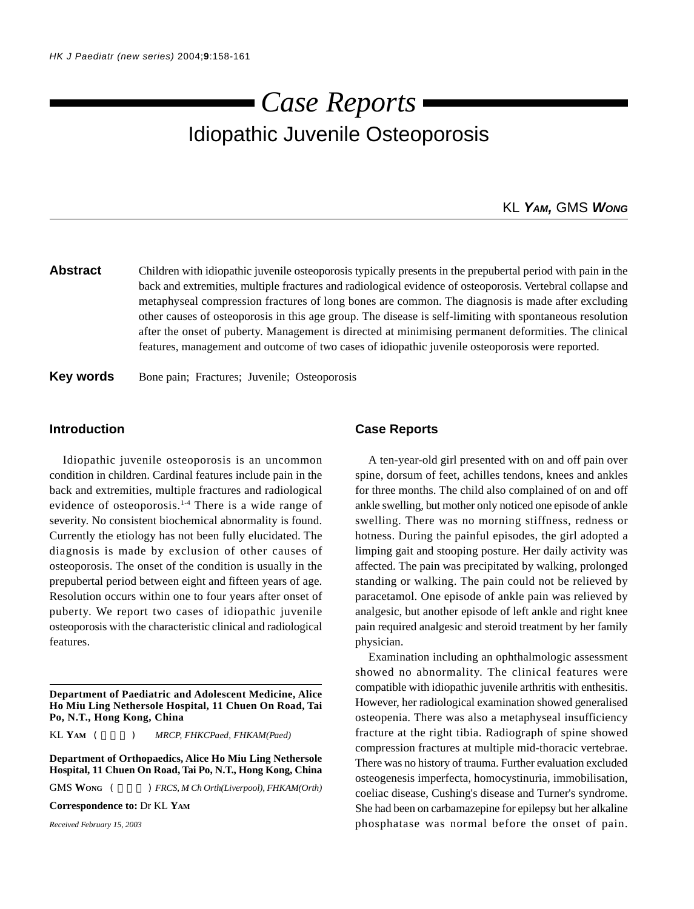# Idiopathic Juvenile Osteoporosis *Case Reports*

## KL *YAM,* GMS *WONG*

### **Abstract** Children with idiopathic juvenile osteoporosis typically presents in the prepubertal period with pain in the back and extremities, multiple fractures and radiological evidence of osteoporosis. Vertebral collapse and metaphyseal compression fractures of long bones are common. The diagnosis is made after excluding other causes of osteoporosis in this age group. The disease is self-limiting with spontaneous resolution after the onset of puberty. Management is directed at minimising permanent deformities. The clinical features, management and outcome of two cases of idiopathic juvenile osteoporosis were reported.

**Key words** Bone pain; Fractures; Juvenile; Osteoporosis

#### **Introduction**

Idiopathic juvenile osteoporosis is an uncommon condition in children. Cardinal features include pain in the back and extremities, multiple fractures and radiological evidence of osteoporosis.<sup>1-4</sup> There is a wide range of severity. No consistent biochemical abnormality is found. Currently the etiology has not been fully elucidated. The diagnosis is made by exclusion of other causes of osteoporosis. The onset of the condition is usually in the prepubertal period between eight and fifteen years of age. Resolution occurs within one to four years after onset of puberty. We report two cases of idiopathic juvenile osteoporosis with the characteristic clinical and radiological features.

KL YAM (  $MRCP, FHKCPaed, FHKAM(Paed)$ 

**Department of Orthopaedics, Alice Ho Miu Ling Nethersole Hospital, 11 Chuen On Road, Tai Po, N.T., Hong Kong, China**

GMS WONG (  $\qquad$  ) *FRCS, M Ch Orth(Liverpool), FHKAM(Orth)* 

**Correspondence to:** Dr KL **YAM**

*Received February 15, 2003*

#### **Case Reports**

A ten-year-old girl presented with on and off pain over spine, dorsum of feet, achilles tendons, knees and ankles for three months. The child also complained of on and off ankle swelling, but mother only noticed one episode of ankle swelling. There was no morning stiffness, redness or hotness. During the painful episodes, the girl adopted a limping gait and stooping posture. Her daily activity was affected. The pain was precipitated by walking, prolonged standing or walking. The pain could not be relieved by paracetamol. One episode of ankle pain was relieved by analgesic, but another episode of left ankle and right knee pain required analgesic and steroid treatment by her family physician.

Examination including an ophthalmologic assessment showed no abnormality. The clinical features were compatible with idiopathic juvenile arthritis with enthesitis. However, her radiological examination showed generalised osteopenia. There was also a metaphyseal insufficiency fracture at the right tibia. Radiograph of spine showed compression fractures at multiple mid-thoracic vertebrae. There was no history of trauma. Further evaluation excluded osteogenesis imperfecta, homocystinuria, immobilisation, coeliac disease, Cushing's disease and Turner's syndrome. She had been on carbamazepine for epilepsy but her alkaline phosphatase was normal before the onset of pain.

**Department of Paediatric and Adolescent Medicine, Alice Ho Miu Ling Nethersole Hospital, 11 Chuen On Road, Tai Po, N.T., Hong Kong, China**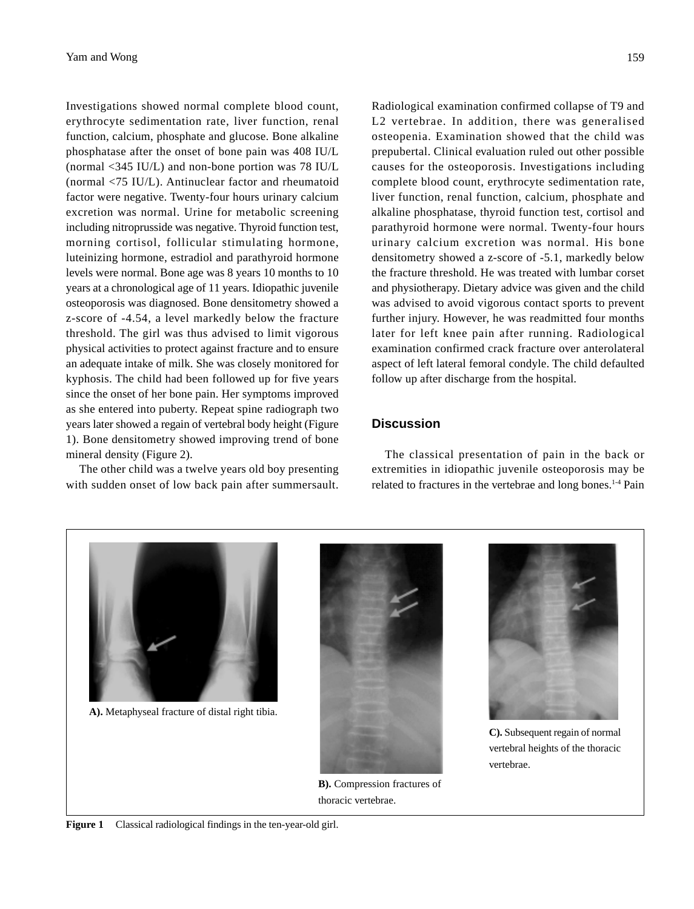Investigations showed normal complete blood count, erythrocyte sedimentation rate, liver function, renal function, calcium, phosphate and glucose. Bone alkaline phosphatase after the onset of bone pain was 408 IU/L (normal <345 IU/L) and non-bone portion was 78 IU/L (normal <75 IU/L). Antinuclear factor and rheumatoid factor were negative. Twenty-four hours urinary calcium excretion was normal. Urine for metabolic screening including nitroprusside was negative. Thyroid function test, morning cortisol, follicular stimulating hormone, luteinizing hormone, estradiol and parathyroid hormone levels were normal. Bone age was 8 years 10 months to 10 years at a chronological age of 11 years. Idiopathic juvenile osteoporosis was diagnosed. Bone densitometry showed a z-score of -4.54, a level markedly below the fracture threshold. The girl was thus advised to limit vigorous physical activities to protect against fracture and to ensure an adequate intake of milk. She was closely monitored for kyphosis. The child had been followed up for five years since the onset of her bone pain. Her symptoms improved as she entered into puberty. Repeat spine radiograph two years later showed a regain of vertebral body height (Figure 1). Bone densitometry showed improving trend of bone mineral density (Figure 2).

The other child was a twelve years old boy presenting with sudden onset of low back pain after summersault.

Radiological examination confirmed collapse of T9 and L2 vertebrae. In addition, there was generalised osteopenia. Examination showed that the child was prepubertal. Clinical evaluation ruled out other possible causes for the osteoporosis. Investigations including complete blood count, erythrocyte sedimentation rate, liver function, renal function, calcium, phosphate and alkaline phosphatase, thyroid function test, cortisol and parathyroid hormone were normal. Twenty-four hours urinary calcium excretion was normal. His bone densitometry showed a z-score of -5.1, markedly below the fracture threshold. He was treated with lumbar corset and physiotherapy. Dietary advice was given and the child was advised to avoid vigorous contact sports to prevent further injury. However, he was readmitted four months later for left knee pain after running. Radiological examination confirmed crack fracture over anterolateral aspect of left lateral femoral condyle. The child defaulted follow up after discharge from the hospital.

related to fractures in the vertebrae and long bones.<sup>1-4</sup> Pain

**Figure 1** Classical radiological findings in the ten-year-old girl.



**B).** Compression fractures of

thoracic vertebrae.



**A).** Metaphyseal fracture of distal right tibia.

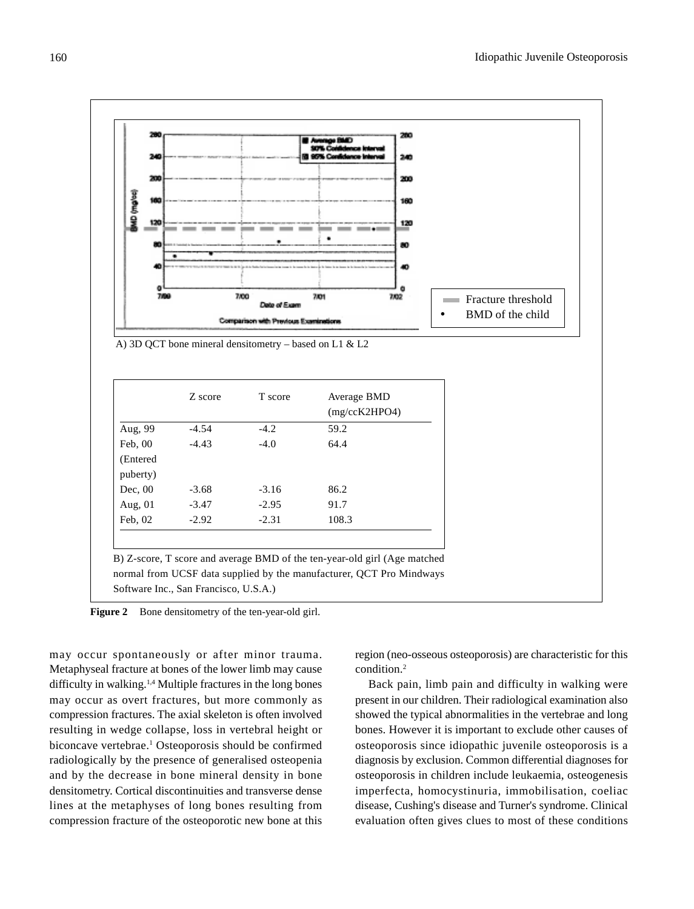

Figure 2 Bone densitometry of the ten-year-old girl.

may occur spontaneously or after minor trauma. Metaphyseal fracture at bones of the lower limb may cause difficulty in walking.1,4 Multiple fractures in the long bones may occur as overt fractures, but more commonly as compression fractures. The axial skeleton is often involved resulting in wedge collapse, loss in vertebral height or biconcave vertebrae.<sup>1</sup> Osteoporosis should be confirmed radiologically by the presence of generalised osteopenia and by the decrease in bone mineral density in bone densitometry. Cortical discontinuities and transverse dense lines at the metaphyses of long bones resulting from compression fracture of the osteoporotic new bone at this

region (neo-osseous osteoporosis) are characteristic for this condition.2

Back pain, limb pain and difficulty in walking were present in our children. Their radiological examination also showed the typical abnormalities in the vertebrae and long bones. However it is important to exclude other causes of osteoporosis since idiopathic juvenile osteoporosis is a diagnosis by exclusion. Common differential diagnoses for osteoporosis in children include leukaemia, osteogenesis imperfecta, homocystinuria, immobilisation, coeliac disease, Cushing's disease and Turner's syndrome. Clinical evaluation often gives clues to most of these conditions